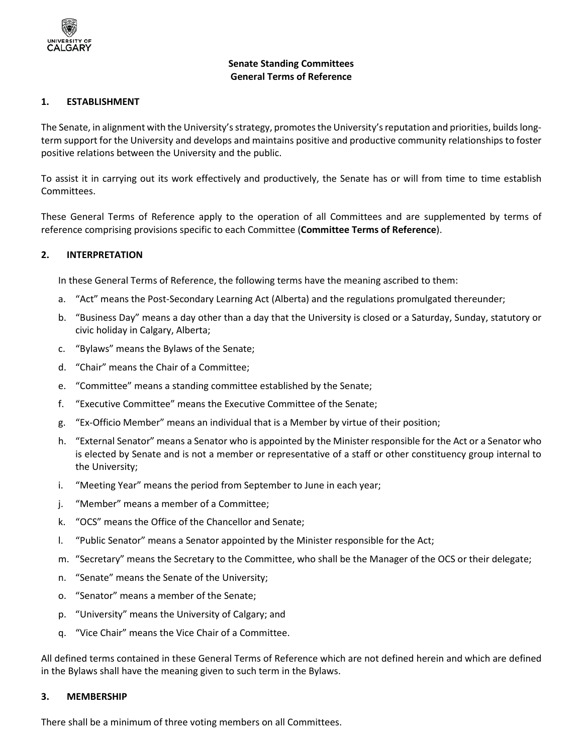

## **Senate Standing Committees General Terms of Reference**

#### **1. ESTABLISHMENT**

The Senate, in alignment with the University's strategy, promotes the University's reputation and priorities, builds longterm support for the University and develops and maintains positive and productive community relationships to foster positive relations between the University and the public.

To assist it in carrying out its work effectively and productively, the Senate has or will from time to time establish Committees.

These General Terms of Reference apply to the operation of all Committees and are supplemented by terms of reference comprising provisions specific to each Committee (**Committee Terms of Reference**).

#### **2. INTERPRETATION**

In these General Terms of Reference, the following terms have the meaning ascribed to them:

- a. "Act" means the Post-Secondary Learning Act (Alberta) and the regulations promulgated thereunder;
- b. "Business Day" means a day other than a day that the University is closed or a Saturday, Sunday, statutory or civic holiday in Calgary, Alberta;
- c. "Bylaws" means the Bylaws of the Senate;
- d. "Chair" means the Chair of a Committee;
- e. "Committee" means a standing committee established by the Senate;
- f. "Executive Committee" means the Executive Committee of the Senate;
- g. "Ex-Officio Member" means an individual that is a Member by virtue of their position;
- h. "External Senator" means a Senator who is appointed by the Minister responsible for the Act or a Senator who is elected by Senate and is not a member or representative of a staff or other constituency group internal to the University;
- i. "Meeting Year" means the period from September to June in each year;
- j. "Member" means a member of a Committee;
- k. "OCS" means the Office of the Chancellor and Senate;
- l. "Public Senator" means a Senator appointed by the Minister responsible for the Act;
- m. "Secretary" means the Secretary to the Committee, who shall be the Manager of the OCS or their delegate;
- n. "Senate" means the Senate of the University;
- o. "Senator" means a member of the Senate;
- p. "University" means the University of Calgary; and
- q. "Vice Chair" means the Vice Chair of a Committee.

All defined terms contained in these General Terms of Reference which are not defined herein and which are defined in the Bylaws shall have the meaning given to such term in the Bylaws.

#### **3. MEMBERSHIP**

There shall be a minimum of three voting members on all Committees.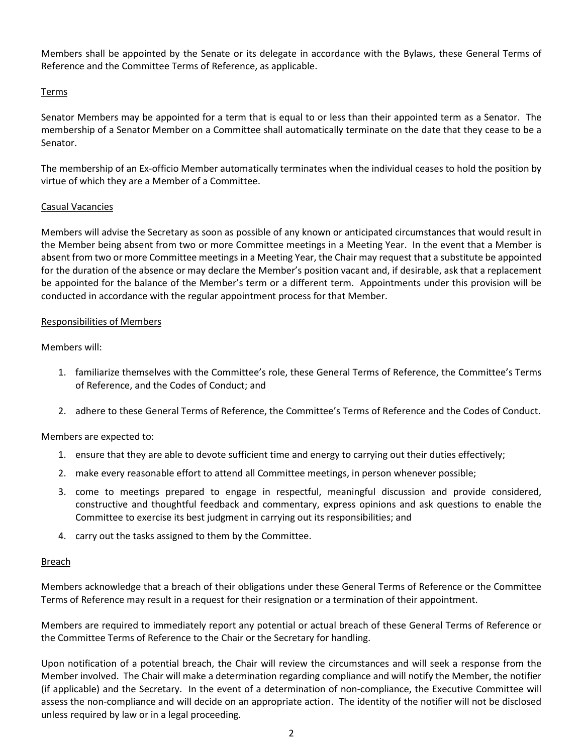Members shall be appointed by the Senate or its delegate in accordance with the Bylaws, these General Terms of Reference and the Committee Terms of Reference, as applicable.

# Terms

Senator Members may be appointed for a term that is equal to or less than their appointed term as a Senator. The membership of a Senator Member on a Committee shall automatically terminate on the date that they cease to be a Senator.

The membership of an Ex-officio Member automatically terminates when the individual ceases to hold the position by virtue of which they are a Member of a Committee.

## Casual Vacancies

Members will advise the Secretary as soon as possible of any known or anticipated circumstances that would result in the Member being absent from two or more Committee meetings in a Meeting Year. In the event that a Member is absent from two or more Committee meetings in a Meeting Year, the Chair may request that a substitute be appointed for the duration of the absence or may declare the Member's position vacant and, if desirable, ask that a replacement be appointed for the balance of the Member's term or a different term. Appointments under this provision will be conducted in accordance with the regular appointment process for that Member.

## Responsibilities of Members

Members will:

- 1. familiarize themselves with the Committee's role, these General Terms of Reference, the Committee's Terms of Reference, and the Codes of Conduct; and
- 2. adhere to these General Terms of Reference, the Committee's Terms of Reference and the Codes of Conduct.

# Members are expected to:

- 1. ensure that they are able to devote sufficient time and energy to carrying out their duties effectively;
- 2. make every reasonable effort to attend all Committee meetings, in person whenever possible;
- 3. come to meetings prepared to engage in respectful, meaningful discussion and provide considered, constructive and thoughtful feedback and commentary, express opinions and ask questions to enable the Committee to exercise its best judgment in carrying out its responsibilities; and
- 4. carry out the tasks assigned to them by the Committee.

## Breach

Members acknowledge that a breach of their obligations under these General Terms of Reference or the Committee Terms of Reference may result in a request for their resignation or a termination of their appointment.

Members are required to immediately report any potential or actual breach of these General Terms of Reference or the Committee Terms of Reference to the Chair or the Secretary for handling.

Upon notification of a potential breach, the Chair will review the circumstances and will seek a response from the Member involved. The Chair will make a determination regarding compliance and will notify the Member, the notifier (if applicable) and the Secretary. In the event of a determination of non-compliance, the Executive Committee will assess the non-compliance and will decide on an appropriate action. The identity of the notifier will not be disclosed unless required by law or in a legal proceeding.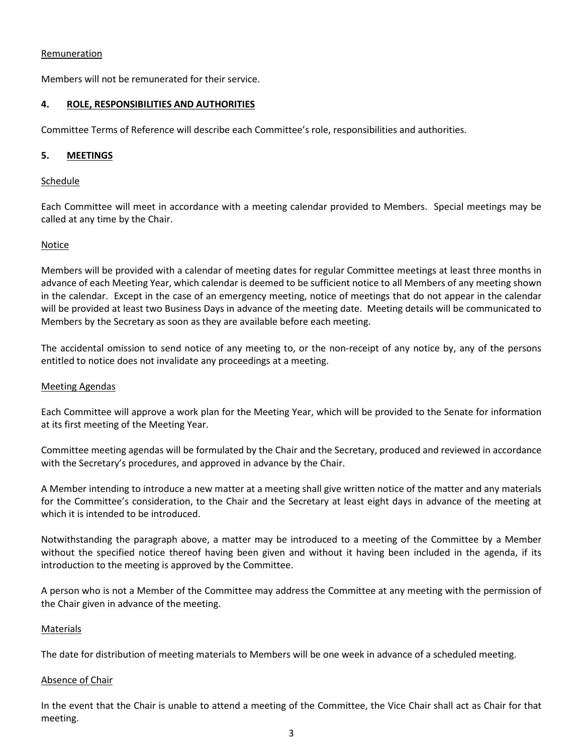### Remuneration

Members will not be remunerated for their service.

## **4. ROLE, RESPONSIBILITIES AND AUTHORITIES**

Committee Terms of Reference will describe each Committee's role, responsibilities and authorities.

## **5. MEETINGS**

#### Schedule

Each Committee will meet in accordance with a meeting calendar provided to Members. Special meetings may be called at any time by the Chair.

#### **Notice**

Members will be provided with a calendar of meeting dates for regular Committee meetings at least three months in advance of each Meeting Year, which calendar is deemed to be sufficient notice to all Members of any meeting shown in the calendar. Except in the case of an emergency meeting, notice of meetings that do not appear in the calendar will be provided at least two Business Days in advance of the meeting date. Meeting details will be communicated to Members by the Secretary as soon as they are available before each meeting.

The accidental omission to send notice of any meeting to, or the non-receipt of any notice by, any of the persons entitled to notice does not invalidate any proceedings at a meeting.

#### Meeting Agendas

Each Committee will approve a work plan for the Meeting Year, which will be provided to the Senate for information at its first meeting of the Meeting Year.

Committee meeting agendas will be formulated by the Chair and the Secretary, produced and reviewed in accordance with the Secretary's procedures, and approved in advance by the Chair.

A Member intending to introduce a new matter at a meeting shall give written notice of the matter and any materials for the Committee's consideration, to the Chair and the Secretary at least eight days in advance of the meeting at which it is intended to be introduced.

Notwithstanding the paragraph above, a matter may be introduced to a meeting of the Committee by a Member without the specified notice thereof having been given and without it having been included in the agenda, if its introduction to the meeting is approved by the Committee.

A person who is not a Member of the Committee may address the Committee at any meeting with the permission of the Chair given in advance of the meeting.

#### Materials

The date for distribution of meeting materials to Members will be one week in advance of a scheduled meeting.

#### Absence of Chair

In the event that the Chair is unable to attend a meeting of the Committee, the Vice Chair shall act as Chair for that meeting.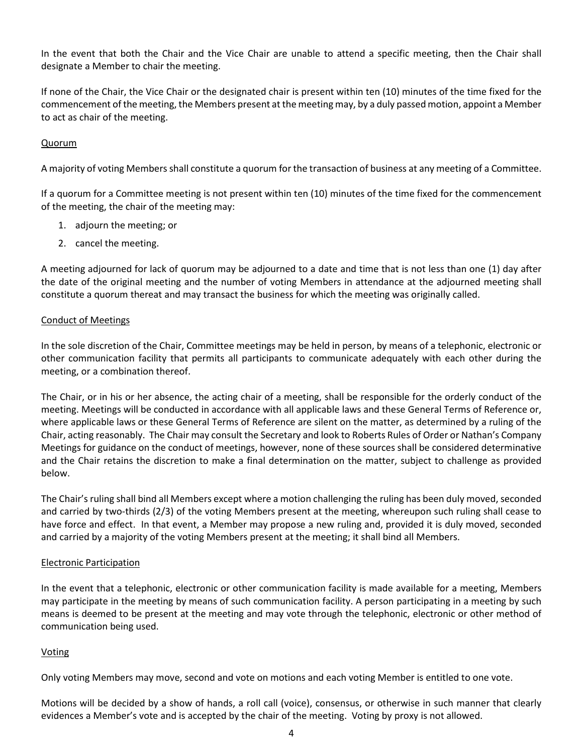In the event that both the Chair and the Vice Chair are unable to attend a specific meeting, then the Chair shall designate a Member to chair the meeting.

If none of the Chair, the Vice Chair or the designated chair is present within ten (10) minutes of the time fixed for the commencement of the meeting, the Members present at the meeting may, by a duly passed motion, appoint a Member to act as chair of the meeting.

## Quorum

A majority of voting Members shall constitute a quorum for the transaction of business at any meeting of a Committee.

If a quorum for a Committee meeting is not present within ten (10) minutes of the time fixed for the commencement of the meeting, the chair of the meeting may:

- 1. adjourn the meeting; or
- 2. cancel the meeting.

A meeting adjourned for lack of quorum may be adjourned to a date and time that is not less than one (1) day after the date of the original meeting and the number of voting Members in attendance at the adjourned meeting shall constitute a quorum thereat and may transact the business for which the meeting was originally called.

## Conduct of Meetings

In the sole discretion of the Chair, Committee meetings may be held in person, by means of a telephonic, electronic or other communication facility that permits all participants to communicate adequately with each other during the meeting, or a combination thereof.

The Chair, or in his or her absence, the acting chair of a meeting, shall be responsible for the orderly conduct of the meeting. Meetings will be conducted in accordance with all applicable laws and these General Terms of Reference or, where applicable laws or these General Terms of Reference are silent on the matter, as determined by a ruling of the Chair, acting reasonably. The Chair may consult the Secretary and look to Roberts Rules of Order or Nathan's Company Meetings for guidance on the conduct of meetings, however, none of these sources shall be considered determinative and the Chair retains the discretion to make a final determination on the matter, subject to challenge as provided below.

The Chair's ruling shall bind all Members except where a motion challenging the ruling has been duly moved, seconded and carried by two-thirds (2/3) of the voting Members present at the meeting, whereupon such ruling shall cease to have force and effect. In that event, a Member may propose a new ruling and, provided it is duly moved, seconded and carried by a majority of the voting Members present at the meeting; it shall bind all Members.

## Electronic Participation

In the event that a telephonic, electronic or other communication facility is made available for a meeting, Members may participate in the meeting by means of such communication facility. A person participating in a meeting by such means is deemed to be present at the meeting and may vote through the telephonic, electronic or other method of communication being used.

## Voting

Only voting Members may move, second and vote on motions and each voting Member is entitled to one vote.

Motions will be decided by a show of hands, a roll call (voice), consensus, or otherwise in such manner that clearly evidences a Member's vote and is accepted by the chair of the meeting. Voting by proxy is not allowed.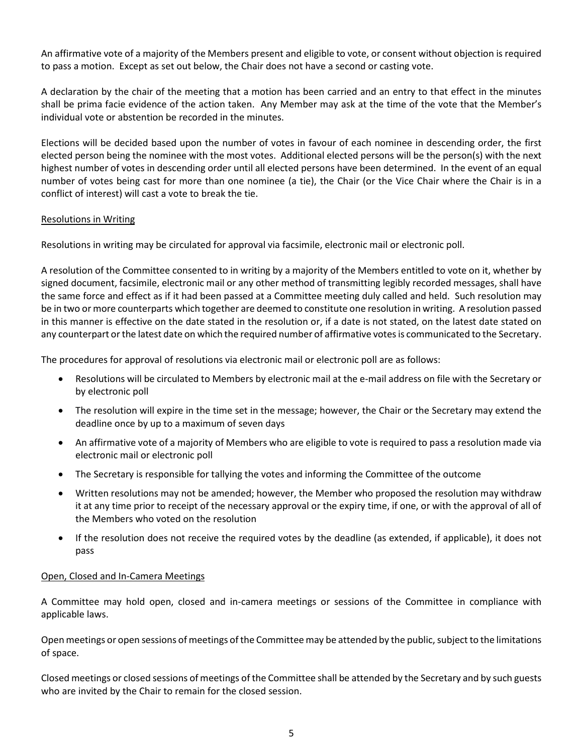An affirmative vote of a majority of the Members present and eligible to vote, or consent without objection is required to pass a motion. Except as set out below, the Chair does not have a second or casting vote.

A declaration by the chair of the meeting that a motion has been carried and an entry to that effect in the minutes shall be prima facie evidence of the action taken. Any Member may ask at the time of the vote that the Member's individual vote or abstention be recorded in the minutes.

Elections will be decided based upon the number of votes in favour of each nominee in descending order, the first elected person being the nominee with the most votes. Additional elected persons will be the person(s) with the next highest number of votes in descending order until all elected persons have been determined. In the event of an equal number of votes being cast for more than one nominee (a tie), the Chair (or the Vice Chair where the Chair is in a conflict of interest) will cast a vote to break the tie.

## Resolutions in Writing

Resolutions in writing may be circulated for approval via facsimile, electronic mail or electronic poll.

A resolution of the Committee consented to in writing by a majority of the Members entitled to vote on it, whether by signed document, facsimile, electronic mail or any other method of transmitting legibly recorded messages, shall have the same force and effect as if it had been passed at a Committee meeting duly called and held. Such resolution may be in two or more counterparts which together are deemed to constitute one resolution in writing. A resolution passed in this manner is effective on the date stated in the resolution or, if a date is not stated, on the latest date stated on any counterpart or the latest date on which the required number of affirmative votes is communicated to the Secretary.

The procedures for approval of resolutions via electronic mail or electronic poll are as follows:

- Resolutions will be circulated to Members by electronic mail at the e-mail address on file with the Secretary or by electronic poll
- The resolution will expire in the time set in the message; however, the Chair or the Secretary may extend the deadline once by up to a maximum of seven days
- An affirmative vote of a majority of Members who are eligible to vote is required to pass a resolution made via electronic mail or electronic poll
- The Secretary is responsible for tallying the votes and informing the Committee of the outcome
- Written resolutions may not be amended; however, the Member who proposed the resolution may withdraw it at any time prior to receipt of the necessary approval or the expiry time, if one, or with the approval of all of the Members who voted on the resolution
- If the resolution does not receive the required votes by the deadline (as extended, if applicable), it does not pass

## Open, Closed and In-Camera Meetings

A Committee may hold open, closed and in-camera meetings or sessions of the Committee in compliance with applicable laws.

Open meetings or open sessions of meetings of the Committee may be attended by the public, subject to the limitations of space.

Closed meetings or closed sessions of meetings of the Committee shall be attended by the Secretary and by such guests who are invited by the Chair to remain for the closed session.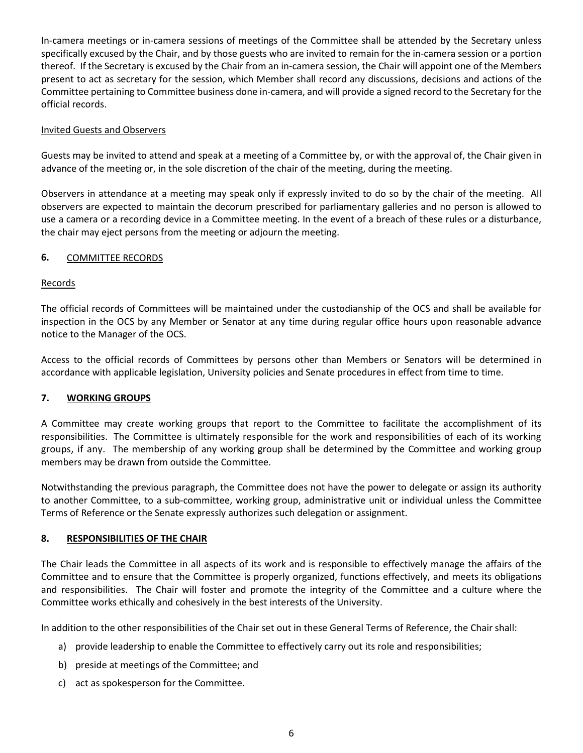In-camera meetings or in-camera sessions of meetings of the Committee shall be attended by the Secretary unless specifically excused by the Chair, and by those guests who are invited to remain for the in-camera session or a portion thereof. If the Secretary is excused by the Chair from an in-camera session, the Chair will appoint one of the Members present to act as secretary for the session, which Member shall record any discussions, decisions and actions of the Committee pertaining to Committee business done in-camera, and will provide a signed record to the Secretary for the official records.

## Invited Guests and Observers

Guests may be invited to attend and speak at a meeting of a Committee by, or with the approval of, the Chair given in advance of the meeting or, in the sole discretion of the chair of the meeting, during the meeting.

Observers in attendance at a meeting may speak only if expressly invited to do so by the chair of the meeting. All observers are expected to maintain the decorum prescribed for parliamentary galleries and no person is allowed to use a camera or a recording device in a Committee meeting. In the event of a breach of these rules or a disturbance, the chair may eject persons from the meeting or adjourn the meeting.

## **6.** COMMITTEE RECORDS

## Records

The official records of Committees will be maintained under the custodianship of the OCS and shall be available for inspection in the OCS by any Member or Senator at any time during regular office hours upon reasonable advance notice to the Manager of the OCS.

Access to the official records of Committees by persons other than Members or Senators will be determined in accordance with applicable legislation, University policies and Senate procedures in effect from time to time.

# **7. WORKING GROUPS**

A Committee may create working groups that report to the Committee to facilitate the accomplishment of its responsibilities. The Committee is ultimately responsible for the work and responsibilities of each of its working groups, if any. The membership of any working group shall be determined by the Committee and working group members may be drawn from outside the Committee.

Notwithstanding the previous paragraph, the Committee does not have the power to delegate or assign its authority to another Committee, to a sub-committee, working group, administrative unit or individual unless the Committee Terms of Reference or the Senate expressly authorizes such delegation or assignment.

## **8. RESPONSIBILITIES OF THE CHAIR**

The Chair leads the Committee in all aspects of its work and is responsible to effectively manage the affairs of the Committee and to ensure that the Committee is properly organized, functions effectively, and meets its obligations and responsibilities. The Chair will foster and promote the integrity of the Committee and a culture where the Committee works ethically and cohesively in the best interests of the University.

In addition to the other responsibilities of the Chair set out in these General Terms of Reference, the Chair shall:

- a) provide leadership to enable the Committee to effectively carry out its role and responsibilities;
- b) preside at meetings of the Committee; and
- c) act as spokesperson for the Committee.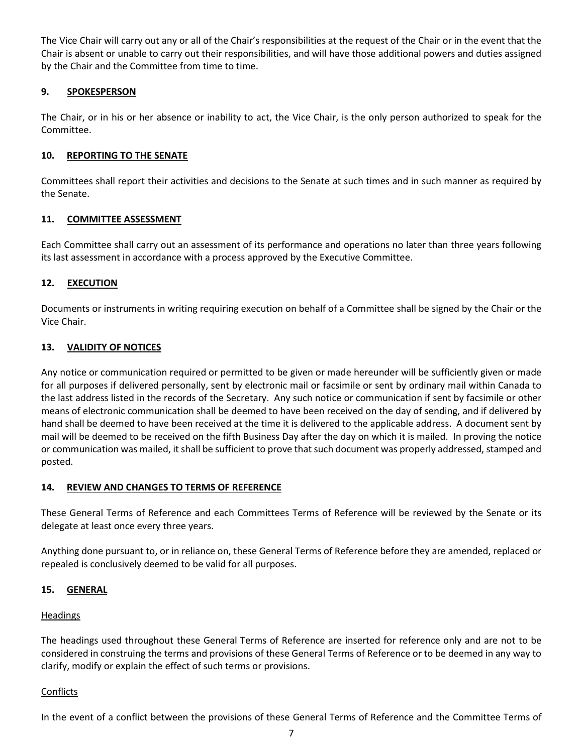The Vice Chair will carry out any or all of the Chair's responsibilities at the request of the Chair or in the event that the Chair is absent or unable to carry out their responsibilities, and will have those additional powers and duties assigned by the Chair and the Committee from time to time.

## **9. SPOKESPERSON**

The Chair, or in his or her absence or inability to act, the Vice Chair, is the only person authorized to speak for the Committee.

## **10. REPORTING TO THE SENATE**

Committees shall report their activities and decisions to the Senate at such times and in such manner as required by the Senate.

## **11. COMMITTEE ASSESSMENT**

Each Committee shall carry out an assessment of its performance and operations no later than three years following its last assessment in accordance with a process approved by the Executive Committee.

## **12. EXECUTION**

Documents or instruments in writing requiring execution on behalf of a Committee shall be signed by the Chair or the Vice Chair.

## **13. VALIDITY OF NOTICES**

Any notice or communication required or permitted to be given or made hereunder will be sufficiently given or made for all purposes if delivered personally, sent by electronic mail or facsimile or sent by ordinary mail within Canada to the last address listed in the records of the Secretary. Any such notice or communication if sent by facsimile or other means of electronic communication shall be deemed to have been received on the day of sending, and if delivered by hand shall be deemed to have been received at the time it is delivered to the applicable address. A document sent by mail will be deemed to be received on the fifth Business Day after the day on which it is mailed. In proving the notice or communication was mailed, it shall be sufficient to prove that such document was properly addressed, stamped and posted.

## **14. REVIEW AND CHANGES TO TERMS OF REFERENCE**

These General Terms of Reference and each Committees Terms of Reference will be reviewed by the Senate or its delegate at least once every three years.

Anything done pursuant to, or in reliance on, these General Terms of Reference before they are amended, replaced or repealed is conclusively deemed to be valid for all purposes.

## **15. GENERAL**

## Headings

The headings used throughout these General Terms of Reference are inserted for reference only and are not to be considered in construing the terms and provisions of these General Terms of Reference or to be deemed in any way to clarify, modify or explain the effect of such terms or provisions.

## Conflicts

In the event of a conflict between the provisions of these General Terms of Reference and the Committee Terms of